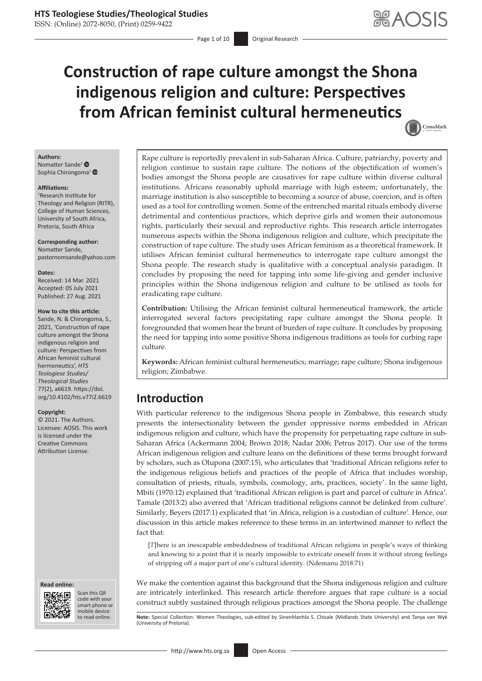ISSN: (Online) 2072-8050, (Print) 0259-9422

# **Construction of rape culture amongst the Shona indigenous religion and culture: Perspectives from African feminist cultural hermeneutics**



#### **Authors:**

Nomatter Sande<sup>[1](https://orcid.org/0000-0002-4177-8391)</sup> ® Sophia Chirongoma<sup>[1](https://orcid.org/0000-0002-8655-7365)</sup><sup>®</sup>

#### **Affiliations:**

1 Research Institute for Theology and Religion (RITR), College of Human Sciences, University of South Africa, Pretoria, South Africa

**Corresponding author:** Nomatter Sande, [pastornomsande@yahoo.com](mailto:pastornomsande@yahoo.com)

#### **Dates:**

Received: 14 Mar. 2021 Accepted: 05 July 2021 Published: 27 Aug. 2021

#### **How to cite this article:**

Sande, N. & Chirongoma, S., 2021, 'Construction of rape culture amongst the Shona indigenous religion and culture: Perspectives from African feminist cultural hermeneutics', *HTS Teologiese Studies/ Theological Studies* 77(2), a6619. [https://doi.](https://doi.org/10.4102/hts.v77i2.6619) [org/10.4102/hts.v77i2.6619](https://doi.org/10.4102/hts.v77i2.6619)

#### **Copyright:**

© 2021. The Authors. Licensee: AOSIS. This work is licensed under the Creative Commons Attribution License.





Scan this QR code with your Scan this QR<br>code with your<br>smart phone or<br>mobile device mobile device to read online.

Rape culture is reportedly prevalent in sub-Saharan Africa. Culture, patriarchy, poverty and religion continue to sustain rape culture. The notions of the objectification of women's bodies amongst the Shona people are causatives for rape culture within diverse cultural institutions. Africans reasonably uphold marriage with high esteem; unfortunately, the marriage institution is also susceptible to becoming a source of abuse, coercion, and is often used as a tool for controlling women. Some of the entrenched marital rituals embody diverse detrimental and contentious practices, which deprive girls and women their autonomous rights, particularly their sexual and reproductive rights. This research article interrogates numerous aspects within the Shona indigenous religion and culture, which precipitate the construction of rape culture. The study uses African feminism as a theoretical framework. It utilises African feminist cultural hermeneutics to interrogate rape culture amongst the Shona people. The research study is qualitative with a conceptual analysis paradigm. It concludes by proposing the need for tapping into some life-giving and gender inclusive principles within the Shona indigenous religion and culture to be utilised as tools for eradicating rape culture.

**Contribution:** Utilising the African feminist cultural hermeneutical framework, the article interrogated several factors precipitating rape culture amongst the Shona people. It foregrounded that women bear the brunt of burden of rape culture. It concludes by proposing the need for tapping into some positive Shona indigenous traditions as tools for curbing rape culture.

**Keywords:** African feminist cultural hermeneutics; marriage; rape culture; Shona indigenous religion; Zimbabwe.

### **Introduction**

With particular reference to the indigenous Shona people in Zimbabwe, this research study presents the intersectionality between the gender oppressive norms embedded in African indigenous religion and culture, which have the propensity for perpetuating rape culture in sub-Saharan Africa (Ackermann 2004; Brown 2018; Nadar 2006; Petrus 2017). Our use of the terms African indigenous religion and culture leans on the definitions of these terms brought forward by scholars, such as Olupona (2007:15), who articulates that 'traditional African religions refer to the indigenous religious beliefs and practices of the people of Africa that includes worship, consultation of priests, rituals, symbols, cosmology, arts, practices, society'. In the same light, Mbiti (1970:12) explained that 'traditional African religion is part and parcel of culture in Africa'. Tamale (2013:2) also averred that 'African traditional religions cannot be delinked from culture'. Similarly, Beyers (2017:1) explicated that 'in Africa, religion is a custodian of culture'. Hence, our discussion in this article makes reference to these terms in an intertwined manner to reflect the fact that:

[*T*]here is an inescapable embeddedness of traditional African religions in people's ways of thinking and knowing to a point that it is nearly impossible to extricate oneself from it without strong feelings of stripping off a major part of one's cultural identity. (Ndemanu 2018:71)

We make the contention against this background that the Shona indigenous religion and culture are intricately interlinked. This research article therefore argues that rape culture is a social construct subtly sustained through religious practices amongst the Shona people. The challenge

Note: Special Collection: Women Theologies, sub-edited by Sinenhlanhla S. Chisale (Midlands State University) and Tanya van Wyk (University of Pretoria).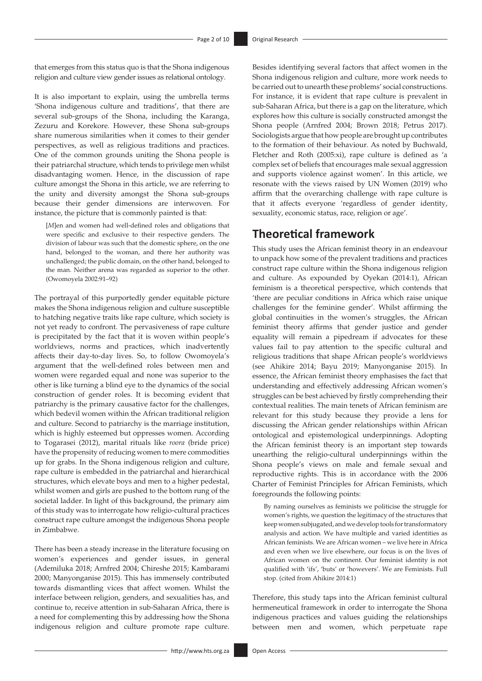that emerges from this status quo is that the Shona indigenous religion and culture view gender issues as relational ontology.

It is also important to explain, using the umbrella terms 'Shona indigenous culture and traditions', that there are several sub-groups of the Shona, including the Karanga, Zezuru and Korekore. However, these Shona sub-groups share numerous similarities when it comes to their gender perspectives, as well as religious traditions and practices. One of the common grounds uniting the Shona people is their patriarchal structure, which tends to privilege men whilst disadvantaging women. Hence, in the discussion of rape culture amongst the Shona in this article, we are referring to the unity and diversity amongst the Shona sub-groups because their gender dimensions are interwoven. For instance, the picture that is commonly painted is that:

[*M*]en and women had well-defined roles and obligations that were specific and exclusive to their respective genders. The division of labour was such that the domestic sphere, on the one hand, belonged to the woman, and there her authority was unchallenged; the public domain, on the other hand, belonged to the man. Neither arena was regarded as superior to the other. (Owomoyela 2002:91–92)

The portrayal of this purportedly gender equitable picture makes the Shona indigenous religion and culture susceptible to hatching negative traits like rape culture, which society is not yet ready to confront. The pervasiveness of rape culture is precipitated by the fact that it is woven within people's worldviews, norms and practices, which inadvertently affects their day-to-day lives. So, to follow Owomoyela's argument that the well-defined roles between men and women were regarded equal and none was superior to the other is like turning a blind eye to the dynamics of the social construction of gender roles. It is becoming evident that patriarchy is the primary causative factor for the challenges, which bedevil women within the African traditional religion and culture. Second to patriarchy is the marriage institution, which is highly esteemed but oppresses women. According to Togarasei (2012), marital rituals like *roora* (bride price) have the propensity of reducing women to mere commodities up for grabs. In the Shona indigenous religion and culture, rape culture is embedded in the patriarchal and hierarchical structures, which elevate boys and men to a higher pedestal, whilst women and girls are pushed to the bottom rung of the societal ladder. In light of this background, the primary aim of this study was to interrogate how religio-cultural practices construct rape culture amongst the indigenous Shona people in Zimbabwe.

There has been a steady increase in the literature focusing on women's experiences and gender issues, in general (Ademiluka 2018; Arnfred 2004; Chireshe 2015; Kambarami 2000; Manyonganise 2015). This has immensely contributed towards dismantling vices that affect women. Whilst the interface between religion, genders, and sexualities has, and continue to, receive attention in sub-Saharan Africa, there is a need for complementing this by addressing how the Shona indigenous religion and culture promote rape culture.

Besides identifying several factors that affect women in the Shona indigenous religion and culture, more work needs to be carried out to unearth these problems' social constructions. For instance, it is evident that rape culture is prevalent in sub-Saharan Africa, but there is a gap on the literature, which explores how this culture is socially constructed amongst the Shona people (Arnfred 2004; Brown 2018; Petrus 2017). Sociologists argue that how people are brought up contributes to the formation of their behaviour. As noted by Buchwald, Fletcher and Roth (2005:xi), rape culture is defined as 'a complex set of beliefs that encourages male sexual aggression and supports violence against women'. In this article, we resonate with the views raised by UN Women (2019) who affirm that the overarching challenge with rape culture is that it affects everyone 'regardless of gender identity, sexuality, economic status, race, religion or age'.

# **Theoretical framework**

This study uses the African feminist theory in an endeavour to unpack how some of the prevalent traditions and practices construct rape culture within the Shona indigenous religion and culture. As expounded by Oyekan (2014:1), African feminism is a theoretical perspective, which contends that 'there are peculiar conditions in Africa which raise unique challenges for the feminine gender'. Whilst affirming the global continuities in the women's struggles, the African feminist theory affirms that gender justice and gender equality will remain a pipedream if advocates for these values fail to pay attention to the specific cultural and religious traditions that shape African people's worldviews (see Ahikire 2014; Bayu 2019; Manyonganise 2015). In essence, the African feminist theory emphasises the fact that understanding and effectively addressing African women's struggles can be best achieved by firstly comprehending their contextual realities. The main tenets of African feminism are relevant for this study because they provide a lens for discussing the African gender relationships within African ontological and epistemological underpinnings. Adopting the African feminist theory is an important step towards unearthing the religio-cultural underpinnings within the Shona people's views on male and female sexual and reproductive rights. This is in accordance with the 2006 Charter of Feminist Principles for African Feminists, which foregrounds the following points:

By naming ourselves as feminists we politicise the struggle for women's rights, we question the legitimacy of the structures that keep women subjugated, and we develop tools for transformatory analysis and action. We have multiple and varied identities as African feminists. We are African women – we live here in Africa and even when we live elsewhere, our focus is on the lives of African women on the continent. Our feminist identity is not qualified with 'ifs', 'buts' or 'howevers'. We are Feminists. Full stop. (cited from Ahikire 2014:1)

Therefore, this study taps into the African feminist cultural hermeneutical framework in order to interrogate the Shona indigenous practices and values guiding the relationships between men and women, which perpetuate rape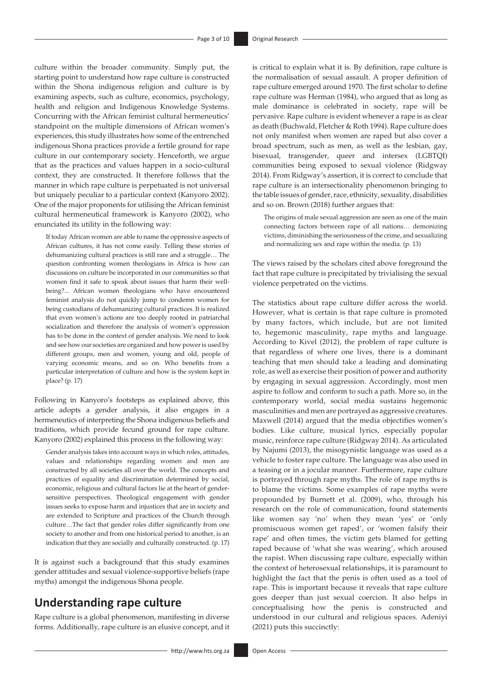culture within the broader community. Simply put, the starting point to understand how rape culture is constructed within the Shona indigenous religion and culture is by examining aspects, such as culture, economics, psychology, health and religion and Indigenous Knowledge Systems. Concurring with the African feminist cultural hermeneutics' standpoint on the multiple dimensions of African women's experiences, this study illustrates how some of the entrenched indigenous Shona practices provide a fertile ground for rape culture in our contemporary society. Henceforth, we argue that as the practices and values happen in a socio-cultural context, they are constructed. It therefore follows that the manner in which rape culture is perpetuated is not universal but uniquely peculiar to a particular context (Kanyoro 2002). One of the major proponents for utilising the African feminist cultural hermeneutical framework is Kanyoro (2002), who enunciated its utility in the following way:

If today African women are able to name the oppressive aspects of African cultures, it has not come easily. Telling these stories of dehumanizing cultural practices is still rare and a struggle… The question confronting women theologians in Africa is how can discussions on culture be incorporated in our communities so that women find it safe to speak about issues that harm their wellbeing?... African women theologians who have encountered feminist analysis do not quickly jump to condemn women for being custodians of dehumanizing cultural practices. It is realized that even women's actions are too deeply rooted in patriarchal socialization and therefore the analysis of women's oppression has to be done in the context of gender analysis. We need to look and see how our societies are organized and how power is used by different groups, men and women, young and old, people of varying economic means, and so on. Who benefits from a particular interpretation of culture and how is the system kept in place? (p. 17)

Following in Kanyoro's footsteps as explained above, this article adopts a gender analysis, it also engages in a hermeneutics of interpreting the Shona indigenous beliefs and traditions, which provide fecund ground for rape culture. Kanyoro (2002) explained this process in the following way:

Gender analysis takes into account ways in which roles, attitudes, values and relationships regarding women and men are constructed by all societies all over the world. The concepts and practices of equality and discrimination determined by social, economic, religious and cultural factors lie at the heart of gendersensitive perspectives. Theological engagement with gender issues seeks to expose harm and injustices that are in society and are extended to Scripture and practices of the Church through culture…The fact that gender roles differ significantly from one society to another and from one historical period to another, is an indication that they are socially and culturally constructed. (p. 17)

It is against such a background that this study examines gender attitudes and sexual violence-supportive beliefs (rape myths) amongst the indigenous Shona people.

# **Understanding rape culture**

Rape culture is a global phenomenon, manifesting in diverse forms. Additionally, rape culture is an elusive concept, and it is critical to explain what it is. By definition, rape culture is the normalisation of sexual assault. A proper definition of rape culture emerged around 1970. The first scholar to define rape culture was Herman (1984), who argued that as long as male dominance is celebrated in society, rape will be pervasive. Rape culture is evident whenever a rape is as clear as death (Buchwald, Fletcher & Roth 1994). Rape culture does not only manifest when women are raped but also cover a broad spectrum, such as men, as well as the lesbian, gay, bisexual, transgender, queer and intersex (LGBTQI) communities being exposed to sexual violence (Ridgway 2014). From Ridgway's assertion, it is correct to conclude that rape culture is an intersectionality phenomenon bringing to the table issues of gender, race, ethnicity, sexuality, disabilities and so on. Brown (2018) further argues that:

The origins of male sexual aggression are seen as one of the main connecting factors between rape of all nations… demonizing victims, diminishing the seriousness of the crime, and sexualizing and normalizing sex and rape within the media. (p. 13)

The views raised by the scholars cited above foreground the fact that rape culture is precipitated by trivialising the sexual violence perpetrated on the victims.

The statistics about rape culture differ across the world. However, what is certain is that rape culture is promoted by many factors, which include, but are not limited to, hegemonic masculinity, rape myths and language. According to Kivel (2012), the problem of rape culture is that regardless of where one lives, there is a dominant teaching that men should take a leading and dominating role, as well as exercise their position of power and authority by engaging in sexual aggression. Accordingly, most men aspire to follow and conform to such a path. More so, in the contemporary world, social media sustains hegemonic masculinities and men are portrayed as aggressive creatures. Maxwell (2014) argued that the media objectifies women's bodies. Like culture, musical lyrics, especially popular music, reinforce rape culture (Ridgway 2014). As articulated by Najumi (2013), the misogynistic language was used as a vehicle to foster rape culture. The language was also used in a teasing or in a jocular manner. Furthermore, rape culture is portrayed through rape myths. The role of rape myths is to blame the victims. Some examples of rape myths were propounded by Burnett et al. (2009), who, through his research on the role of communication, found statements like women say 'no' when they mean 'yes' or 'only promiscuous women get raped', or 'women falsify their rape' and often times, the victim gets blamed for getting raped because of 'what she was wearing', which aroused the rapist. When discussing rape culture, especially within the context of heterosexual relationships, it is paramount to highlight the fact that the penis is often used as a tool of rape. This is important because it reveals that rape culture goes deeper than just sexual coercion. It also helps in conceptualising how the penis is constructed and understood in our cultural and religious spaces. Adeniyi (2021) puts this succinctly: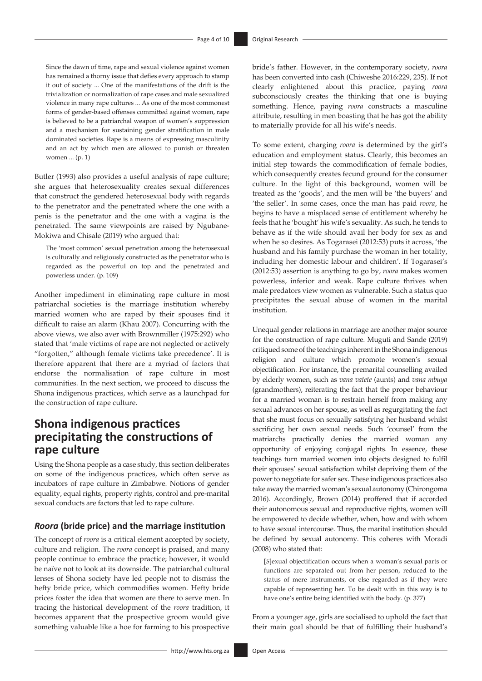Since the dawn of time, rape and sexual violence against women has remained a thorny issue that defies every approach to stamp it out of society ... One of the manifestations of the drift is the trivialization or normalization of rape cases and male sexualized violence in many rape cultures ... As one of the most commonest forms of gender-based offenses committed against women, rape is believed to be a patriarchal weapon of women's suppression and a mechanism for sustaining gender stratification in male dominated societies. Rape is a means of expressing masculinity and an act by which men are allowed to punish or threaten women ... (p. 1)

Butler (1993) also provides a useful analysis of rape culture; she argues that heterosexuality creates sexual differences that construct the gendered heterosexual body with regards to the penetrator and the penetrated where the one with a penis is the penetrator and the one with a vagina is the penetrated. The same viewpoints are raised by Ngubane-Mokiwa and Chisale (2019) who argued that:

The 'most common' sexual penetration among the heterosexual is culturally and religiously constructed as the penetrator who is regarded as the powerful on top and the penetrated and powerless under. (p. 109)

Another impediment in eliminating rape culture in most patriarchal societies is the marriage institution whereby married women who are raped by their spouses find it difficult to raise an alarm (Khau 2007). Concurring with the above views, we also aver with Brownmiller (1975:292) who stated that 'male victims of rape are not neglected or actively "forgotten," although female victims take precedence'. It is therefore apparent that there are a myriad of factors that endorse the normalisation of rape culture in most communities. In the next section, we proceed to discuss the Shona indigenous practices, which serve as a launchpad for the construction of rape culture.

# **Shona indigenous practices precipitating the constructions of rape culture**

Using the Shona people as a case study, this section deliberates on some of the indigenous practices, which often serve as incubators of rape culture in Zimbabwe. Notions of gender equality, equal rights, property rights, control and pre-marital sexual conducts are factors that led to rape culture.

#### *Roora* **(bride price) and the marriage institution**

The concept of *roora* is a critical element accepted by society, culture and religion. The *roora* concept is praised, and many people continue to embrace the practice; however, it would be naïve not to look at its downside. The patriarchal cultural lenses of Shona society have led people not to dismiss the hefty bride price, which commodifies women. Hefty bride prices foster the idea that women are there to serve men. In tracing the historical development of the *roora* tradition, it becomes apparent that the prospective groom would give something valuable like a hoe for farming to his prospective

bride's father. However, in the contemporary society, *roora*  has been converted into cash (Chiweshe 2016:229, 235). If not clearly enlightened about this practice, paying *roora* subconsciously creates the thinking that one is buying something. Hence, paying *roora* constructs a masculine attribute, resulting in men boasting that he has got the ability to materially provide for all his wife's needs.

To some extent, charging *roora* is determined by the girl's education and employment status. Clearly, this becomes an initial step towards the commodification of female bodies, which consequently creates fecund ground for the consumer culture. In the light of this background, women will be treated as the 'goods', and the men will be 'the buyers' and 'the seller'. In some cases, once the man has paid *roora*, he begins to have a misplaced sense of entitlement whereby he feels that he 'bought' his wife's sexuality. As such, he tends to behave as if the wife should avail her body for sex as and when he so desires. As Togarasei (2012:53) puts it across, 'the husband and his family purchase the woman in her totality, including her domestic labour and children'. If Togarasei's (2012:53) assertion is anything to go by, *roora* makes women powerless, inferior and weak. Rape culture thrives when male predators view women as vulnerable. Such a status quo precipitates the sexual abuse of women in the marital institution.

Unequal gender relations in marriage are another major source for the construction of rape culture. Muguti and Sande (2019) critiqued some of the teachings inherent in the Shona indigenous religion and culture which promote women's sexual objectification. For instance, the premarital counselling availed by elderly women, such as *vana vatete* (aunts) and *vana mbuya* (grandmothers), reiterating the fact that the proper behaviour for a married woman is to restrain herself from making any sexual advances on her spouse, as well as regurgitating the fact that she must focus on sexually satisfying her husband whilst sacrificing her own sexual needs. Such 'counsel' from the matriarchs practically denies the married woman any opportunity of enjoying conjugal rights. In essence, these teachings turn married women into objects designed to fulfil their spouses' sexual satisfaction whilst depriving them of the power to negotiate for safer sex. These indigenous practices also take away the married woman's sexual autonomy (Chirongoma 2016). Accordingly, Brown (2014) proffered that if accorded their autonomous sexual and reproductive rights, women will be empowered to decide whether, when, how and with whom to have sexual intercourse. Thus, the marital institution should be defined by sexual autonomy. This coheres with Moradi (2008) who stated that:

[*S*]exual objectification occurs when a woman's sexual parts or functions are separated out from her person, reduced to the status of mere instruments, or else regarded as if they were capable of representing her. To be dealt with in this way is to have one's entire being identified with the body. (p. 377)

From a younger age, girls are socialised to uphold the fact that their main goal should be that of fulfilling their husband's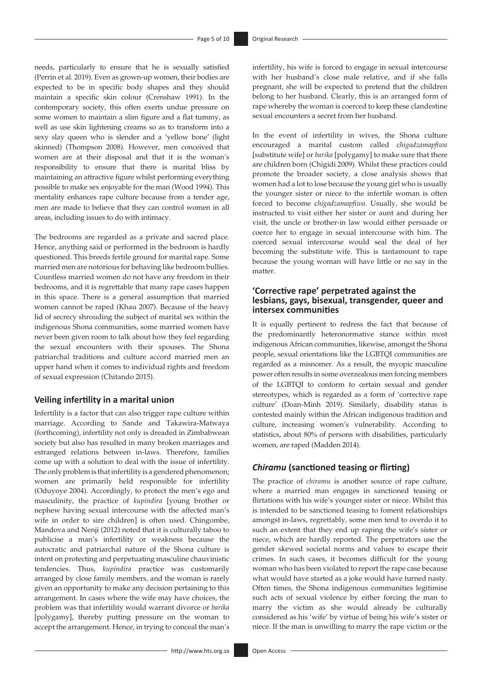needs, particularly to ensure that he is sexually satisfied (Perrin et al. 2019). Even as grown-up women, their bodies are expected to be in specific body shapes and they should maintain a specific skin colour (Crenshaw 1991). In the contemporary society, this often exerts undue pressure on some women to maintain a slim figure and a flat tummy, as well as use skin lightening creams so as to transform into a sexy slay queen who is slender and a 'yellow bone' (light skinned) (Thompson 2008). However, men conceived that women are at their disposal and that it is the woman's responsibility to ensure that there is marital bliss by maintaining an attractive figure whilst performing everything possible to make sex enjoyable for the man (Wood 1994). This mentality enhances rape culture because from a tender age, men are made to believe that they can control women in all areas, including issues to do with intimacy.

The bedrooms are regarded as a private and sacred place. Hence, anything said or performed in the bedroom is hardly questioned. This breeds fertile ground for marital rape. Some married men are notorious for behaving like bedroom bullies. Countless married women do not have any freedom in their bedrooms, and it is regrettable that many rape cases happen in this space. There is a general assumption that married women cannot be raped (Khau 2007). Because of the heavy lid of secrecy shrouding the subject of marital sex within the indigenous Shona communities, some married women have never been given room to talk about how they feel regarding the sexual encounters with their spouses. The Shona patriarchal traditions and culture accord married men an upper hand when it comes to individual rights and freedom of sexual expression (Chitando 2015).

#### **Veiling infertility in a marital union**

Infertility is a factor that can also trigger rape culture within marriage. According to Sande and Takawira-Matwaya (forthcoming), infertility not only is dreaded in Zimbabwean society but also has resulted in many broken marriages and estranged relations between in-laws. Therefore, families come up with a solution to deal with the issue of infertility. The only problem is that infertility is a gendered phenomenon; women are primarily held responsible for infertility (Oduyoye 2004). Accordingly, to protect the men's ego and masculinity, the practice of *kupindira* [young brother or nephew having sexual intercourse with the affected man's wife in order to sire children] is often used. Chingombe, Mandova and Nenji (2012) noted that it is culturally taboo to publicise a man's infertility or weakness because the autocratic and patriarchal nature of the Shona culture is intent on protecting and perpetuating masculine chauvinistic tendencies. Thus, *kupindira* practice was customarily arranged by close family members, and the woman is rarely given an opportunity to make any decision pertaining to this arrangement. In cases where the wife may have choices, the problem was that infertility would warrant divorce or *barika*  [polygamy], thereby putting pressure on the woman to accept the arrangement. Hence, in trying to conceal the man's infertility, his wife is forced to engage in sexual intercourse with her husband's close male relative, and if she falls pregnant, she will be expected to pretend that the children belong to her husband. Clearly, this is an arranged form of rape whereby the woman is coerced to keep these clandestine sexual encounters a secret from her husband.

In the event of infertility in wives, the Shona culture encouraged a marital custom called c*higadzamapfiwa* [substitute wife] or *barika* [polygamy] to make sure that there are children born (Chigidi 2009). Whilst these practices could promote the broader society, a close analysis shows that women had a lot to lose because the young girl who is usually the younger sister or niece to the infertile woman is often forced to become c*higadzamapfiwa*. Usually, she would be instructed to visit either her sister or aunt and during her visit, the uncle or brother-in law would either persuade or coerce her to engage in sexual intercourse with him. The coerced sexual intercourse would seal the deal of her becoming the substitute wife. This is tantamount to rape because the young woman will have little or no say in the matter.

### **'Corrective rape' perpetrated against the lesbians, gays, bisexual, transgender, queer and intersex communities**

It is equally pertinent to redress the fact that because of the predominantly heteronormative stance within most indigenous African communities, likewise, amongst the Shona people, sexual orientations like the LGBTQI communities are regarded as a misnomer. As a result, the myopic masculine power often results in some overzealous men forcing members of the LGBTQI to conform to certain sexual and gender stereotypes, which is regarded as a form of 'corrective rape culture' (Doan-Minh 2019). Similarly, disability status is contested mainly within the African indigenous tradition and culture, increasing women's vulnerability. According to statistics, about 80[%](http://%) of persons with disabilities, particularly women, are raped (Madden 2014).

### *Chiramu* **(sanctioned teasing or flirting)**

The practice of *chiramu* is another source of rape culture, where a married man engages in sanctioned teasing or flirtations with his wife's younger sister or niece. Whilst this is intended to be sanctioned teasing to foment relationships amongst in-laws, regrettably, some men tend to overdo it to such an extent that they end up raping the wife's sister or niece, which are hardly reported. The perpetrators use the gender skewed societal norms and values to escape their crimes. In such cases, it becomes difficult for the young woman who has been violated to report the rape case because what would have started as a joke would have turned nasty. Often times, the Shona indigenous communities legitimise such acts of sexual violence by either forcing the man to marry the victim as she would already be culturally considered as his 'wife' by virtue of being his wife's sister or niece. If the man is unwilling to marry the rape victim or the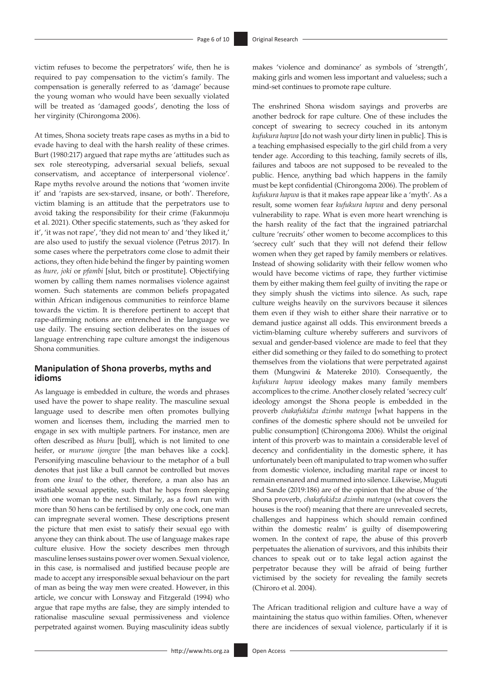victim refuses to become the perpetrators' wife, then he is required to pay compensation to the victim's family. The compensation is generally referred to as 'damage' because the young woman who would have been sexually violated will be treated as 'damaged goods', denoting the loss of her virginity (Chirongoma 2006).

At times, Shona society treats rape cases as myths in a bid to evade having to deal with the harsh reality of these crimes. Burt (1980:217) argued that rape myths are 'attitudes such as sex role stereotyping, adversarial sexual beliefs, sexual conservatism, and acceptance of interpersonal violence'. Rape myths revolve around the notions that 'women invite it' and 'rapists are sex-starved, insane, or both'. Therefore, victim blaming is an attitude that the perpetrators use to avoid taking the responsibility for their crime (Fakunmoju et al. 2021). Other specific statements, such as 'they asked for it', 'it was not rape', 'they did not mean to' and 'they liked it,' are also used to justify the sexual violence (Petrus 2017). In some cases where the perpetrators come close to admit their actions, they often hide behind the finger by painting women as *hure, joki* or *pfambi* [slut, bitch or prostitute]. Objectifying women by calling them names normalises violence against women. Such statements are common beliefs propagated within African indigenous communities to reinforce blame towards the victim. It is therefore pertinent to accept that rape-affirming notions are entrenched in the language we use daily. The ensuing section deliberates on the issues of language entrenching rape culture amongst the indigenous Shona communities.

### **Manipulation of Shona proverbs, myths and idioms**

As language is embedded in culture, the words and phrases used have the power to shape reality. The masculine sexual language used to describe men often promotes bullying women and licenses them, including the married men to engage in sex with multiple partners. For instance, men are often described as *bhuru* [bull], which is not limited to one heifer, or *murume ijongwe* [the man behaves like a cock]. Personifying masculine behaviour to the metaphor of a bull denotes that just like a bull cannot be controlled but moves from one *kraal* to the other, therefore, a man also has an insatiable sexual appetite, such that he hops from sleeping with one woman to the next. Similarly, as a fowl run with more than 50 hens can be fertilised by only one cock, one man can impregnate several women. These descriptions present the picture that men exist to satisfy their sexual ego with anyone they can think about. The use of language makes rape culture elusive. How the society describes men through masculine lenses sustains power over women. Sexual violence, in this case, is normalised and justified because people are made to accept any irresponsible sexual behaviour on the part of man as being the way men were created. However, in this article, we concur with Lonsway and Fitzgerald (1994) who argue that rape myths are false, they are simply intended to rationalise masculine sexual permissiveness and violence perpetrated against women. Buying masculinity ideas subtly

makes 'violence and dominance' as symbols of 'strength', making girls and women less important and valueless; such a mind-set continues to promote rape culture.

The enshrined Shona wisdom sayings and proverbs are another bedrock for rape culture. One of these includes the concept of swearing to secrecy couched in its antonym *kufukura hapwa* [do not wash your dirty linen in public]. This is a teaching emphasised especially to the girl child from a very tender age. According to this teaching, family secrets of ills, failures and taboos are not supposed to be revealed to the public. Hence, anything bad which happens in the family must be kept confidential (Chirongoma 2006). The problem of *kufukura hapwa* is that it makes rape appear like a 'myth'. As a result, some women fear *kufukura hapwa* and deny personal vulnerability to rape. What is even more heart wrenching is the harsh reality of the fact that the ingrained patriarchal culture 'recruits' other women to become accomplices to this 'secrecy cult' such that they will not defend their fellow women when they get raped by family members or relatives. Instead of showing solidarity with their fellow women who would have become victims of rape, they further victimise them by either making them feel guilty of inviting the rape or they simply shush the victims into silence. As such, rape culture weighs heavily on the survivors because it silences them even if they wish to either share their narrative or to demand justice against all odds. This environment breeds a victim-blaming culture whereby sufferers and survivors of sexual and gender-based violence are made to feel that they either did something or they failed to do something to protect themselves from the violations that were perpetrated against them (Mungwini & Matereke 2010). Consequently, the *kufukura hapwa* ideology makes many family members accomplices to the crime. Another closely related 'secrecy cult' ideology amongst the Shona people is embedded in the proverb *chakafukidza dzimba matenga* [what happens in the confines of the domestic sphere should not be unveiled for public consumption] (Chirongoma 2006). Whilst the original intent of this proverb was to maintain a considerable level of decency and confidentiality in the domestic sphere, it has unfortunately been oft manipulated to trap women who suffer from domestic violence, including marital rape or incest to remain ensnared and mummed into silence. Likewise, Muguti and Sande (2019:186) are of the opinion that the abuse of 'the Shona proverb, *chakafukidza dzimba matenga* (what covers the houses is the roof) meaning that there are unrevealed secrets, challenges and happiness which should remain confined within the domestic realm' is guilty of disempowering women. In the context of rape, the abuse of this proverb perpetuates the alienation of survivors, and this inhibits their chances to speak out or to take legal action against the perpetrator because they will be afraid of being further victimised by the society for revealing the family secrets (Chiroro et al. 2004).

The African traditional religion and culture have a way of maintaining the status quo within families. Often, whenever there are incidences of sexual violence, particularly if it is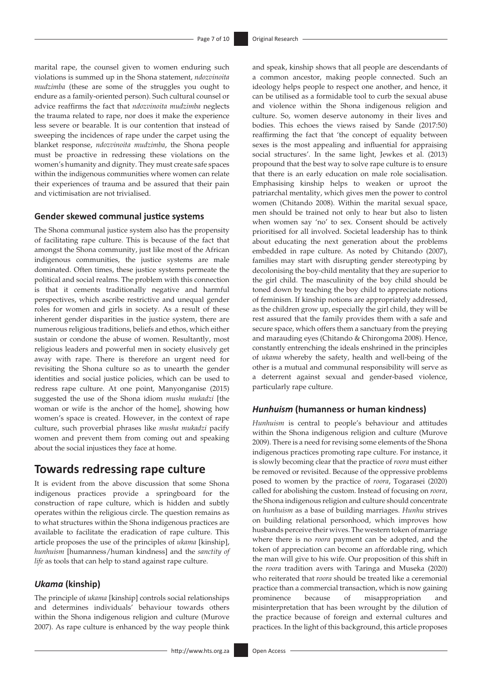marital rape, the counsel given to women enduring such violations is summed up in the Shona statement, *ndozvinoita mudzimba* (these are some of the struggles you ought to endure as a family-oriented person). Such cultural counsel or advice reaffirms the fact that *ndozvinoita mudzimba* neglects the trauma related to rape, nor does it make the experience less severe or bearable. It is our contention that instead of sweeping the incidences of rape under the carpet using the blanket response, *ndozvinoita mudzimba*, the Shona people must be proactive in redressing these violations on the women's humanity and dignity. They must create safe spaces within the indigenous communities where women can relate their experiences of trauma and be assured that their pain and victimisation are not trivialised.

### **Gender skewed communal justice systems**

The Shona communal justice system also has the propensity of facilitating rape culture. This is because of the fact that amongst the Shona community, just like most of the African indigenous communities, the justice systems are male dominated. Often times, these justice systems permeate the political and social realms. The problem with this connection is that it cements traditionally negative and harmful perspectives, which ascribe restrictive and unequal gender roles for women and girls in society. As a result of these inherent gender disparities in the justice system, there are numerous religious traditions, beliefs and ethos, which either sustain or condone the abuse of women. Resultantly, most religious leaders and powerful men in society elusively get away with rape. There is therefore an urgent need for revisiting the Shona culture so as to unearth the gender identities and social justice policies, which can be used to redress rape culture. At one point, Manyonganise (2015) suggested the use of the Shona idiom *musha mukadzi* [the woman or wife is the anchor of the home], showing how women's space is created. However, in the context of rape culture, such proverbial phrases like *musha mukadzi* pacify women and prevent them from coming out and speaking about the social injustices they face at home.

### **Towards redressing rape culture**

It is evident from the above discussion that some Shona indigenous practices provide a springboard for the construction of rape culture, which is hidden and subtly operates within the religious circle. The question remains as to what structures within the Shona indigenous practices are available to facilitate the eradication of rape culture. This article proposes the use of the principles of *ukama* [kinship], *hunhuism* [humanness/human kindness] and the *sanctity of life* as tools that can help to stand against rape culture.

### *Ukama* **(kinship)**

The principle of *ukama* [kinship] controls social relationships and determines individuals' behaviour towards others within the Shona indigenous religion and culture (Murove 2007). As rape culture is enhanced by the way people think

a common ancestor, making people connected. Such an ideology helps people to respect one another, and hence, it can be utilised as a formidable tool to curb the sexual abuse and violence within the Shona indigenous religion and culture. So, women deserve autonomy in their lives and bodies. This echoes the views raised by Sande (2017:50) reaffirming the fact that 'the concept of equality between sexes is the most appealing and influential for appraising social structures'. In the same light, Jewkes et al. (2013) propound that the best way to solve rape culture is to ensure that there is an early education on male role socialisation. Emphasising kinship helps to weaken or uproot the patriarchal mentality, which gives men the power to control women (Chitando 2008). Within the marital sexual space, men should be trained not only to hear but also to listen when women say 'no' to sex. Consent should be actively prioritised for all involved. Societal leadership has to think about educating the next generation about the problems embedded in rape culture. As noted by Chitando (2007), families may start with disrupting gender stereotyping by decolonising the boy-child mentality that they are superior to the girl child. The masculinity of the boy child should be toned down by teaching the boy child to appreciate notions of feminism. If kinship notions are appropriately addressed, as the children grow up, especially the girl child, they will be rest assured that the family provides them with a safe and secure space, which offers them a sanctuary from the preying and marauding eyes (Chitando & Chirongoma 2008). Hence, constantly entrenching the ideals enshrined in the principles of *ukama* whereby the safety, health and well-being of the other is a mutual and communal responsibility will serve as a deterrent against sexual and gender-based violence, particularly rape culture.

and speak, kinship shows that all people are descendants of

#### *Hunhuism* **(humanness or human kindness)**

*Hunhuism* is central to people's behaviour and attitudes within the Shona indigenous religion and culture (Murove 2009). There is a need for revising some elements of the Shona indigenous practices promoting rape culture. For instance, it is slowly becoming clear that the practice of *roora* must either be removed or revisited. Because of the oppressive problems posed to women by the practice of *roora*, Togarasei (2020) called for abolishing the custom. Instead of focusing on *roora*, the Shona indigenous religion and culture should concentrate on *hunhuism* as a base of building marriages. *Hunhu* strives on building relational personhood, which improves how husbands perceive their wives. The western token of marriage where there is no *roora* payment can be adopted, and the token of appreciation can become an affordable ring, which the man will give to his wife. Our proposition of this shift in the *roora* tradition avers with Taringa and Museka (2020) who reiterated that *roora* should be treated like a ceremonial practice than a commercial transaction, which is now gaining prominence because of misappropriation and misinterpretation that has been wrought by the dilution of the practice because of foreign and external cultures and practices. In the light of this background, this article proposes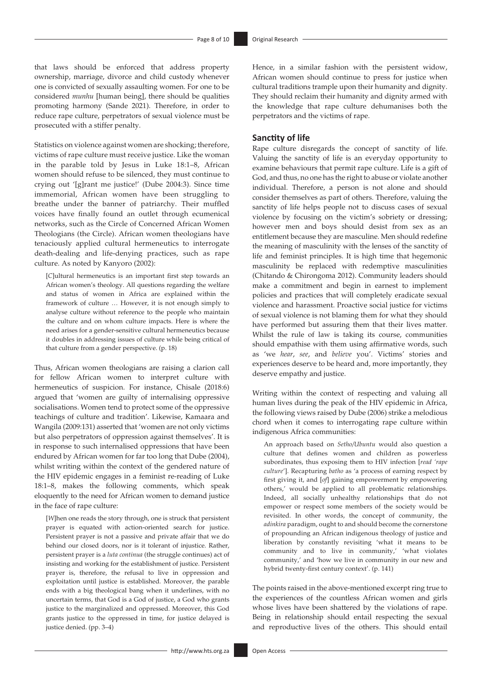that laws should be enforced that address property ownership, marriage, divorce and child custody whenever one is convicted of sexually assaulting women. For one to be considered *munhu* [human being], there should be qualities promoting harmony (Sande 2021). Therefore, in order to reduce rape culture, perpetrators of sexual violence must be prosecuted with a stiffer penalty.

Statistics on violence against women are shocking; therefore, victims of rape culture must receive justice. Like the woman in the parable told by Jesus in Luke 18:1–8, African women should refuse to be silenced, they must continue to crying out '[g]rant me justice!' (Dube 2004:3). Since time immemorial, African women have been struggling to breathe under the banner of patriarchy. Their muffled voices have finally found an outlet through ecumenical networks, such as the Circle of Concerned African Women Theologians (the Circle). African women theologians have tenaciously applied cultural hermeneutics to interrogate death-dealing and life-denying practices, such as rape culture. As noted by Kanyoro (2002):

[*C*]ultural hermeneutics is an important first step towards an African women's theology. All questions regarding the welfare and status of women in Africa are explained within the framework of culture … However, it is not enough simply to analyse culture without reference to the people who maintain the culture and on whom culture impacts. Here is where the need arises for a gender-sensitive cultural hermeneutics because it doubles in addressing issues of culture while being critical of that culture from a gender perspective. (p. 18)

Thus, African women theologians are raising a clarion call for fellow African women to interpret culture with hermeneutics of suspicion. For instance, Chisale (2018:6) argued that 'women are guilty of internalising oppressive socialisations. Women tend to protect some of the oppressive teachings of culture and tradition'. Likewise, Kamaara and Wangila (2009:131) asserted that 'women are not only victims but also perpetrators of oppression against themselves'. It is in response to such internalised oppressions that have been endured by African women for far too long that Dube (2004), whilst writing within the context of the gendered nature of the HIV epidemic engages in a feminist re-reading of Luke 18:1–8, makes the following comments, which speak eloquently to the need for African women to demand justice in the face of rape culture:

[*W*]hen one reads the story through, one is struck that persistent prayer is equated with action-oriented search for justice. Persistent prayer is not a passive and private affair that we do behind our closed doors, nor is it tolerant of injustice. Rather, persistent prayer is a *luta continua* (the struggle continues) act of insisting and working for the establishment of justice. Persistent prayer is, therefore, the refusal to live in oppression and exploitation until justice is established. Moreover, the parable ends with a big theological bang when it underlines, with no uncertain terms, that God is a God of justice, a God who grants justice to the marginalized and oppressed. Moreover, this God grants justice to the oppressed in time, for justice delayed is justice denied. (pp. 3–4)

Hence, in a similar fashion with the persistent widow, African women should continue to press for justice when cultural traditions trample upon their humanity and dignity. They should reclaim their humanity and dignity armed with the knowledge that rape culture dehumanises both the perpetrators and the victims of rape.

#### **Sanctity of life**

Rape culture disregards the concept of sanctity of life. Valuing the sanctity of life is an everyday opportunity to examine behaviours that permit rape culture. Life is a gift of God, and thus, no one has the right to abuse or violate another individual. Therefore, a person is not alone and should consider themselves as part of others. Therefore, valuing the sanctity of life helps people not to discuss cases of sexual violence by focusing on the victim's sobriety or dressing; however men and boys should desist from sex as an entitlement because they are masculine. Men should redefine the meaning of masculinity with the lenses of the sanctity of life and feminist principles. It is high time that hegemonic masculinity be replaced with redemptive masculinities (Chitando & Chirongoma 2012). Community leaders should make a commitment and begin in earnest to implement policies and practices that will completely eradicate sexual violence and harassment. Proactive social justice for victims of sexual violence is not blaming them for what they should have performed but assuring them that their lives matter. Whilst the rule of law is taking its course, communities should empathise with them using affirmative words, such as 'we *hear*, *see*, and *believe* you'. Victims' stories and experiences deserve to be heard and, more importantly, they deserve empathy and justice.

Writing within the context of respecting and valuing all human lives during the peak of the HIV epidemic in Africa, the following views raised by Dube (2006) strike a melodious chord when it comes to interrogating rape culture within indigenous Africa communities:

An approach based on *Setho/Ubuntu* would also question a culture that defines women and children as powerless subordinates, thus exposing them to HIV infection [*read 'rape culture*']. Recapturing *batho* as 'a process of earning respect by first giving it, and [*of*] gaining empowerment by empowering others,' would be applied to all problematic relationships. Indeed, all socially unhealthy relationships that do not empower or respect some members of the society would be revisited. In other words, the concept of community, the *adinkira* paradigm, ought to and should become the cornerstone of propounding an African indigenous theology of justice and liberation by constantly revisiting 'what it means to be community and to live in community,' 'what violates community,' and 'how we live in community in our new and hybrid twenty-first century context'. (p. 141)

The points raised in the above-mentioned excerpt ring true to the experiences of the countless African women and girls whose lives have been shattered by the violations of rape. Being in relationship should entail respecting the sexual and reproductive lives of the others. This should entail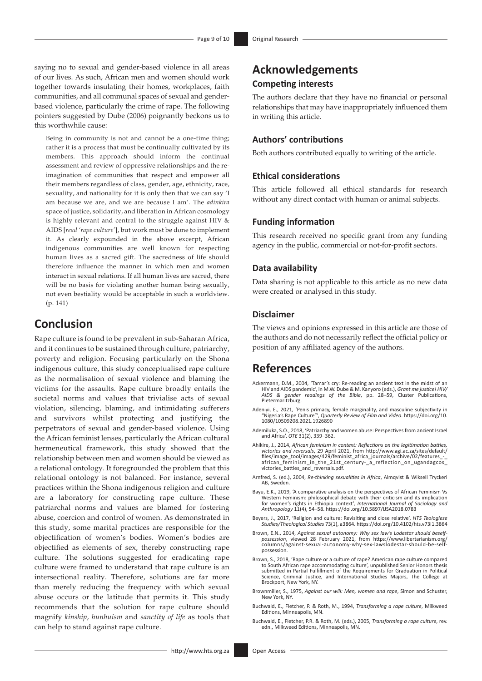saying no to sexual and gender-based violence in all areas of our lives. As such, African men and women should work together towards insulating their homes, workplaces, faith communities, and all communal spaces of sexual and genderbased violence, particularly the crime of rape. The following pointers suggested by Dube (2006) poignantly beckons us to this worthwhile cause:

Being in community is not and cannot be a one-time thing; rather it is a process that must be continually cultivated by its members. This approach should inform the continual assessment and review of oppressive relationships and the reimagination of communities that respect and empower all their members regardless of class, gender, age, ethnicity, race, sexuality, and nationality for it is only then that we can say 'I am because we are, and we are because I am'. The *adinkira*  space of justice, solidarity, and liberation in African cosmology is highly relevant and central to the struggle against HIV & AIDS [*read 'rape culture'*], but work must be done to implement it. As clearly expounded in the above excerpt, African indigenous communities are well known for respecting human lives as a sacred gift. The sacredness of life should therefore influence the manner in which men and women interact in sexual relations. If all human lives are sacred, there will be no basis for violating another human being sexually, not even bestiality would be acceptable in such a worldview. (p. 141)

# **Conclusion**

Rape culture is found to be prevalent in sub-Saharan Africa, and it continues to be sustained through culture, patriarchy, poverty and religion. Focusing particularly on the Shona indigenous culture, this study conceptualised rape culture as the normalisation of sexual violence and blaming the victims for the assaults. Rape culture broadly entails the societal norms and values that trivialise acts of sexual violation, silencing, blaming, and intimidating sufferers and survivors whilst protecting and justifying the perpetrators of sexual and gender-based violence. Using the African feminist lenses, particularly the African cultural hermeneutical framework, this study showed that the relationship between men and women should be viewed as a relational ontology. It foregrounded the problem that this relational ontology is not balanced. For instance, several practices within the Shona indigenous religion and culture are a laboratory for constructing rape culture. These patriarchal norms and values are blamed for fostering abuse, coercion and control of women. As demonstrated in this study, some marital practices are responsible for the objectification of women's bodies. Women's bodies are objectified as elements of sex, thereby constructing rape culture. The solutions suggested for eradicating rape culture were framed to understand that rape culture is an intersectional reality. Therefore, solutions are far more than merely reducing the frequency with which sexual abuse occurs or the latitude that permits it. This study recommends that the solution for rape culture should magnify *kinship*, *hunhuism* and *sanctity of life* as tools that can help to stand against rape culture.

## **Acknowledgements Competing interests**

The authors declare that they have no financial or personal relationships that may have inappropriately influenced them in writing this article.

### **Authors' contributions**

Both authors contributed equally to writing of the article.

### **Ethical considerations**

This article followed all ethical standards for research without any direct contact with human or animal subjects.

#### **Funding information**

This research received no specific grant from any funding agency in the public, commercial or not-for-profit sectors.

#### **Data availability**

Data sharing is not applicable to this article as no new data were created or analysed in this study.

### **Disclaimer**

The views and opinions expressed in this article are those of the authors and do not necessarily reflect the official policy or position of any affiliated agency of the authors.

## **References**

- Ackermann, D.M., 2004, 'Tamar's cry: Re-reading an ancient text in the midst of an<br>HIV and AIDS pandemic', in M.W. Dube & M. Kanyoro (eds.), *Grant me justice! HIV/*<br>AIDS & gender readings of the Bible, pp. 28–59, Cluster Pietermaritzburg.
- Adeniyi, E., 2021, 'Penis primacy, female marginality, and masculine subjectivity in "Nigeria's Rape Culture"', *Quarterly Review of Film and Video*. [https://doi.org/10.](https://doi.org/10.1080/10509208.2021.1926890) [1080/10509208.2021.1926890](https://doi.org/10.1080/10509208.2021.1926890)
- Ademiluka, S.O., 2018, 'Patriarchy and women abuse: Perspectives from ancient Israel and Africa', *OTE* 31(2), 339–362.
- Ahikire, J., 2014, *African feminism in context: Reflections on the legitimation battles, victories and reversals*, 29 April 2021, from [http://www.agi.ac.za/sites/default/](http://www.agi.ac.za/sites/default/files/image_tool/images/429/feminist_africa_journals/archive/02/features_-_african_feminism_in_the_21st_century-_a_reflection_on_ugandagcos_victories_battles_and_reversals.pdf) [files/image\\_tool/images/429/feminist\\_africa\\_journals/archive/02/features\\_-\\_](http://www.agi.ac.za/sites/default/files/image_tool/images/429/feminist_africa_journals/archive/02/features_-_african_feminism_in_the_21st_century-_a_reflection_on_ugandagcos_victories_battles_and_reversals.pdf) [african\\_feminism\\_in\\_the\\_21st\\_century-\\_a\\_reflection\\_on\\_ugandagcos\\_](http://www.agi.ac.za/sites/default/files/image_tool/images/429/feminist_africa_journals/archive/02/features_-_african_feminism_in_the_21st_century-_a_reflection_on_ugandagcos_victories_battles_and_reversals.pdf) [victories\\_battles\\_and\\_reversals.pdf](http://www.agi.ac.za/sites/default/files/image_tool/images/429/feminist_africa_journals/archive/02/features_-_african_feminism_in_the_21st_century-_a_reflection_on_ugandagcos_victories_battles_and_reversals.pdf).
- Arnfred, S. (ed.), 2004, *Re-thinking sexualities in Africa*, Almqvist & Wiksell Tryckeri AB, Sweden.
- Bayu, E.K., 2019, 'A comparative analysis on the perspectives of African Feminism Vs Western Feminism: philosophical debate with their criticism and its implication for women's rights in Ethiopia context', *International Journal of Sociology and Anthropology* 11(4), 54–58. <https://doi.org/10.5897/IJSA2018.0783>
- Beyers, J., 2017, 'Religion and culture: Revisiting and close relative', *HTS Teologiese Studies/Theological Studies* 73(1), a3864. <https://doi.org/10.4102/hts.v73i1.3864>
- Brown, E.N., 2014, Against sexual autonomy: Why sex law's Lodestar should beself-<br>possession, viewed 28 February 2021, from [https://www.libertarianism.org/](https://www.libertarianism.org/columns/against-sexual-autonomy-why-sex-lawslodestar-should-be-self-possession)<br>- columns/against-sexual-autonomy-why-sex-lawslodestar-should-be-s [possession.](https://www.libertarianism.org/columns/against-sexual-autonomy-why-sex-lawslodestar-should-be-self-possession)
- Brown, S., 2018, 'Rape culture or a culture of rape? American rape culture compared to South African rape accommodating culture', unpublished Senior Honors thesis submitted in Partial Fulfillment of the Requirements for Graduation in Political Science, Criminal Justice, and International Studies Majors, The College at Brockport, New York, NY.
- Brownmiller, S., 1975, *Against our will: Men, women and rape*, Simon and Schuster, New York, NY.
- Buchwald, E., Fletcher, P. & Roth, M., 1994, *Transforming a rape culture*, Milkweed Editions, Minneapolis, MN.
- Buchwald, E., Fletcher, P.R. & Roth, M. (eds.), 2005, *Transforming a rape culture*, rev. edn., Milkweed Editions, Minneapolis, MN.